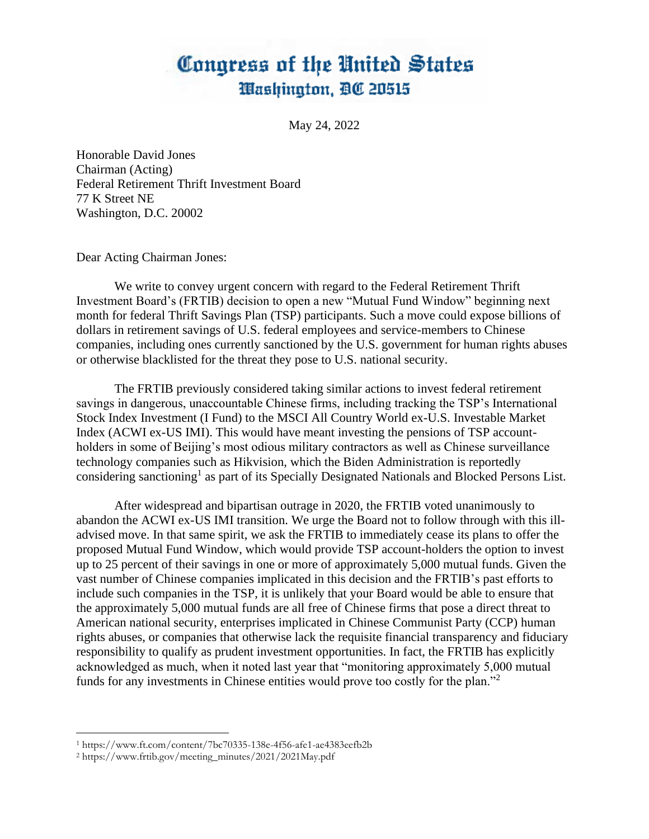## Congress of the United States Washington, DC 20515

May 24, 2022

Honorable David Jones Chairman (Acting) Federal Retirement Thrift Investment Board 77 K Street NE Washington, D.C. 20002

Dear Acting Chairman Jones:

We write to convey urgent concern with regard to the Federal Retirement Thrift Investment Board's (FRTIB) decision to open a new "Mutual Fund Window" beginning next month for federal Thrift Savings Plan (TSP) participants. Such a move could expose billions of dollars in retirement savings of U.S. federal employees and service-members to Chinese companies, including ones currently sanctioned by the U.S. government for human rights abuses or otherwise blacklisted for the threat they pose to U.S. national security.

The FRTIB previously considered taking similar actions to invest federal retirement savings in dangerous, unaccountable Chinese firms, including tracking the TSP's International Stock Index Investment (I Fund) to the MSCI All Country World ex-U.S. Investable Market Index (ACWI ex-US IMI). This would have meant investing the pensions of TSP accountholders in some of Beijing's most odious military contractors as well as Chinese surveillance technology companies such as Hikvision, which the Biden Administration is reportedly considering sanctioning<sup>1</sup> as part of its Specially Designated Nationals and Blocked Persons List.

After widespread and bipartisan outrage in 2020, the FRTIB voted unanimously to abandon the ACWI ex-US IMI transition. We urge the Board not to follow through with this illadvised move. In that same spirit, we ask the FRTIB to immediately cease its plans to offer the proposed Mutual Fund Window, which would provide TSP account-holders the option to invest up to 25 percent of their savings in one or more of approximately 5,000 mutual funds. Given the vast number of Chinese companies implicated in this decision and the FRTIB's past efforts to include such companies in the TSP, it is unlikely that your Board would be able to ensure that the approximately 5,000 mutual funds are all free of Chinese firms that pose a direct threat to American national security, enterprises implicated in Chinese Communist Party (CCP) human rights abuses, or companies that otherwise lack the requisite financial transparency and fiduciary responsibility to qualify as prudent investment opportunities. In fact, the FRTIB has explicitly acknowledged as much, when it noted last year that "monitoring approximately 5,000 mutual funds for any investments in Chinese entities would prove too costly for the plan."<sup>2</sup>

<sup>1</sup> https://www.ft.com/content/7bc70335-138e-4f56-afe1-ae4383eefb2b

<sup>2</sup> https://www.frtib.gov/meeting\_minutes/2021/2021May.pdf